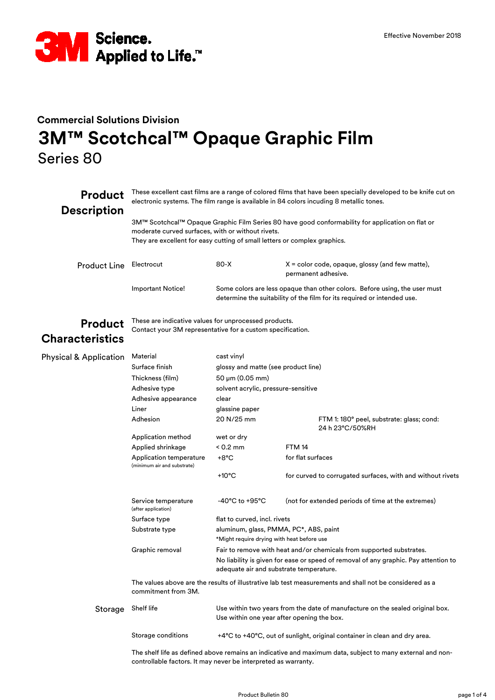

## **Commercial Solutions Division 3M™ Scotchcal™ Opaque Graphic Film** Series 80

| <b>Product</b><br><b>Description</b> | These excellent cast films are a range of colored films that have been specially developed to be knife cut on<br>electronic systems. The film range is available in 84 colors incuding 8 metallic tones.                           |                                                                                                                                                                                                        |                                                                                                                                                       |  |  |
|--------------------------------------|------------------------------------------------------------------------------------------------------------------------------------------------------------------------------------------------------------------------------------|--------------------------------------------------------------------------------------------------------------------------------------------------------------------------------------------------------|-------------------------------------------------------------------------------------------------------------------------------------------------------|--|--|
|                                      | 3M™ Scotchcal™ Opaque Graphic Film Series 80 have good conformability for application on flat or<br>moderate curved surfaces, with or without rivets.<br>They are excellent for easy cutting of small letters or complex graphics. |                                                                                                                                                                                                        |                                                                                                                                                       |  |  |
| <b>Product Line</b>                  | Electrocut                                                                                                                                                                                                                         | 80-X                                                                                                                                                                                                   | $X =$ color code, opaque, glossy (and few matte),<br>permanent adhesive.                                                                              |  |  |
|                                      | <b>Important Notice!</b>                                                                                                                                                                                                           |                                                                                                                                                                                                        | Some colors are less opaque than other colors. Before using, the user must<br>determine the suitability of the film for its required or intended use. |  |  |
| <b>Product</b>                       | These are indicative values for unprocessed products.<br>Contact your 3M representative for a custom specification.                                                                                                                |                                                                                                                                                                                                        |                                                                                                                                                       |  |  |
| Characteristics                      |                                                                                                                                                                                                                                    |                                                                                                                                                                                                        |                                                                                                                                                       |  |  |
| <b>Physical &amp; Application</b>    | Material                                                                                                                                                                                                                           | cast vinyl                                                                                                                                                                                             |                                                                                                                                                       |  |  |
|                                      | Surface finish                                                                                                                                                                                                                     | glossy and matte (see product line)                                                                                                                                                                    |                                                                                                                                                       |  |  |
|                                      | Thickness (film)                                                                                                                                                                                                                   | $50 \mu m (0.05 \text{ mm})$                                                                                                                                                                           |                                                                                                                                                       |  |  |
|                                      | Adhesive type                                                                                                                                                                                                                      | solvent acrylic, pressure-sensitive                                                                                                                                                                    |                                                                                                                                                       |  |  |
|                                      | Adhesive appearance                                                                                                                                                                                                                | clear                                                                                                                                                                                                  |                                                                                                                                                       |  |  |
|                                      | Liner                                                                                                                                                                                                                              | glassine paper                                                                                                                                                                                         |                                                                                                                                                       |  |  |
|                                      | Adhesion                                                                                                                                                                                                                           | 20 N/25 mm                                                                                                                                                                                             | FTM 1: 180° peel, substrate: glass; cond:<br>24 h 23°C/50%RH                                                                                          |  |  |
|                                      | Application method                                                                                                                                                                                                                 | wet or dry                                                                                                                                                                                             |                                                                                                                                                       |  |  |
|                                      | Applied shrinkage                                                                                                                                                                                                                  | $< 0.2$ mm                                                                                                                                                                                             | <b>FTM 14</b>                                                                                                                                         |  |  |
|                                      | Application temperature<br>(minimum air and substrate)                                                                                                                                                                             | +8°C                                                                                                                                                                                                   | for flat surfaces                                                                                                                                     |  |  |
|                                      |                                                                                                                                                                                                                                    | $+10^{\circ}$ C                                                                                                                                                                                        | for curved to corrugated surfaces, with and without rivets                                                                                            |  |  |
|                                      | Service temperature<br>(after application)                                                                                                                                                                                         | -40°C to +95°C                                                                                                                                                                                         | (not for extended periods of time at the extremes)                                                                                                    |  |  |
|                                      | Surface type                                                                                                                                                                                                                       | flat to curved, incl. rivets                                                                                                                                                                           |                                                                                                                                                       |  |  |
|                                      | Substrate type                                                                                                                                                                                                                     | aluminum, glass, PMMA, PC*, ABS, paint<br>*Might require drying with heat before use                                                                                                                   |                                                                                                                                                       |  |  |
|                                      | Graphic removal                                                                                                                                                                                                                    | Fair to remove with heat and/or chemicals from supported substrates.<br>No liability is given for ease or speed of removal of any graphic. Pay attention to<br>adequate air and substrate temperature. |                                                                                                                                                       |  |  |
|                                      | The values above are the results of illustrative lab test measurements and shall not be considered as a<br>commitment from 3M.                                                                                                     |                                                                                                                                                                                                        |                                                                                                                                                       |  |  |
| Storage                              | Shelf life                                                                                                                                                                                                                         | Use within two years from the date of manufacture on the sealed original box.<br>Use within one year after opening the box.                                                                            |                                                                                                                                                       |  |  |
|                                      | Storage conditions                                                                                                                                                                                                                 |                                                                                                                                                                                                        | +4°C to +40°C, out of sunlight, original container in clean and dry area.                                                                             |  |  |
|                                      | The shelf life as defined above remains an indicative and maximum data, subject to many external and non-<br>controllable factors. It may never be interpreted as warranty.                                                        |                                                                                                                                                                                                        |                                                                                                                                                       |  |  |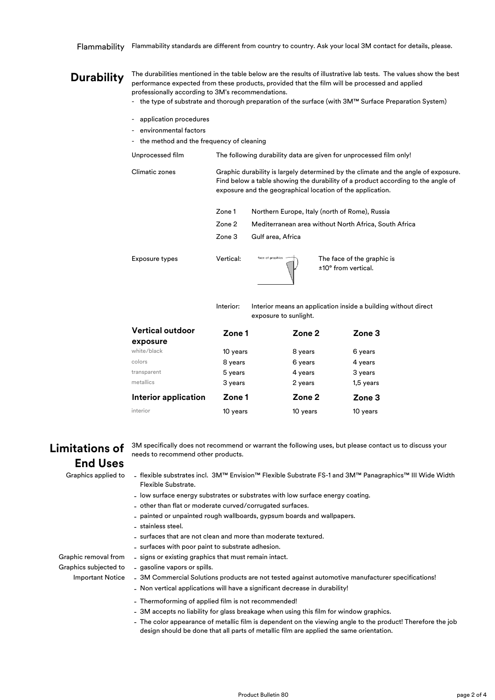## **Durability**

-

The durabilities mentioned in the table below are the results of illustrative lab tests. The values show the best performance expected from these products, provided that the film will be processed and applied professionally according to 3M's recommendations.

- the type of substrate and thorough preparation of the surface (with 3M™ Surface Preparation System)
- application procedures
- environmental factors
- the method and the frequency of cleaning
- Unprocessed film The following durability data are given for unprocessed film only!

Climatic zones Graphic durability is largely determined by the climate and the angle of exposure. Find below a table showing the durability of a product according to the angle of exposure and the geographical location of the application.

|                | Zone 1    | Northern Europe, Italy (north of Rome), Russia |                                                       |
|----------------|-----------|------------------------------------------------|-------------------------------------------------------|
|                | Zone 2    |                                                | Mediterranean area without North Africa, South Africa |
|                | Zone 3    | Gulf area, Africa                              |                                                       |
| Exposure types | Vertical: | face of graphics                               | The face of the graphic is<br>±10° from vertical.     |

Interior:

Interior means an application inside a building without direct exposure to sunlight.

| <b>Vertical outdoor</b>     | Zone 1   | Zone 2   | Zone 3    |
|-----------------------------|----------|----------|-----------|
| exposure                    |          |          |           |
| white/black                 | 10 years | 8 years  | 6 years   |
| colors                      | 8 years  | 6 years  | 4 years   |
| transparent                 | 5 years  | 4 years  | 3 years   |
| metallics                   | 3 years  | 2 years  | 1,5 years |
| <b>Interior application</b> | Zone 1   | Zone 2   | Zone 3    |
| interior                    | 10 years | 10 years | 10 years  |

## **Limitations of End Uses**

3M specifically does not recommend or warrant the following uses, but please contact us to discuss your needs to recommend other products.

Graphics applied to

- flexible substrates incl. 3M™ Envision™ Flexible Substrate FS-1 and 3M™ Panagraphics™ III Wide Width Flexible Substrate.
- low surface energy substrates or substrates with low surface energy coating.
- other than flat or moderate curved/corrugated surfaces.
- painted or unpainted rough wallboards, gypsum boards and wallpapers.
- stainless steel.
- surfaces that are not clean and more than moderate textured.
- surfaces with poor paint to substrate adhesion.

Graphic removal from - signs or existing graphics that must remain intact. - gasoline vapors or spills.

Graphics subjected to **Important Notice** 

- 3M Commercial Solutions products are not tested against automotive manufacturer specifications!
- Non vertical applications will have a significant decrease in durability!
- Thermoforming of applied film is not recommended!
- 3M accepts no liability for glass breakage when using this film for window graphics.
- The color appearance of metallic film is dependent on the viewing angle to the product! Therefore the job design should be done that all parts of metallic film are applied the same orientation.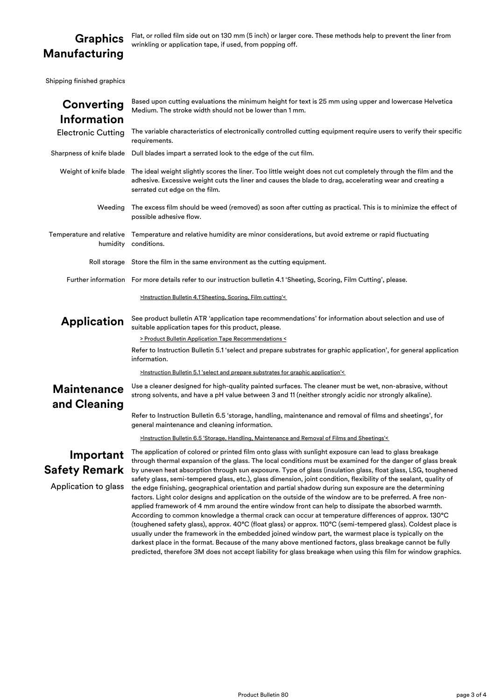## **Graphics Manufacturing**

Flat, or rolled film side out on 130 mm (5 inch) or larger core. These methods help to prevent the liner from wrinkling or application tape, if used, from popping off.

Shipping finished graphics

| Converting<br><b>Information</b>   | Based upon cutting evaluations the minimum height for text is 25 mm using upper and lowercase Helvetica<br>Medium. The stroke width should not be lower than 1 mm.                                                                                                                                                                                                                                                                                                                                                                                                                                                                                                                                                                                                                  |  |  |  |
|------------------------------------|-------------------------------------------------------------------------------------------------------------------------------------------------------------------------------------------------------------------------------------------------------------------------------------------------------------------------------------------------------------------------------------------------------------------------------------------------------------------------------------------------------------------------------------------------------------------------------------------------------------------------------------------------------------------------------------------------------------------------------------------------------------------------------------|--|--|--|
| <b>Electronic Cutting</b>          | The variable characteristics of electronically controlled cutting equipment require users to verify their specific<br>requirements.                                                                                                                                                                                                                                                                                                                                                                                                                                                                                                                                                                                                                                                 |  |  |  |
|                                    | Sharpness of knife blade Dull blades impart a serrated look to the edge of the cut film.                                                                                                                                                                                                                                                                                                                                                                                                                                                                                                                                                                                                                                                                                            |  |  |  |
|                                    | Weight of knife blade The ideal weight slightly scores the liner. Too little weight does not cut completely through the film and the<br>adhesive. Excessive weight cuts the liner and causes the blade to drag, accelerating wear and creating a<br>serrated cut edge on the film.                                                                                                                                                                                                                                                                                                                                                                                                                                                                                                  |  |  |  |
| Weeding                            | The excess film should be weed (removed) as soon after cutting as practical. This is to minimize the effect of<br>possible adhesive flow.                                                                                                                                                                                                                                                                                                                                                                                                                                                                                                                                                                                                                                           |  |  |  |
| humidity                           | Temperature and relative Temperature and relative humidity are minor considerations, but avoid extreme or rapid fluctuating<br>conditions.                                                                                                                                                                                                                                                                                                                                                                                                                                                                                                                                                                                                                                          |  |  |  |
|                                    | Roll storage Store the film in the same environment as the cutting equipment.                                                                                                                                                                                                                                                                                                                                                                                                                                                                                                                                                                                                                                                                                                       |  |  |  |
|                                    | Further information For more details refer to our instruction bulletin 4.1 'Sheeting, Scoring, Film Cutting', please.                                                                                                                                                                                                                                                                                                                                                                                                                                                                                                                                                                                                                                                               |  |  |  |
|                                    | >Instruction Bulletin 4.1'Sheeting, Scoring, Film cutting'<                                                                                                                                                                                                                                                                                                                                                                                                                                                                                                                                                                                                                                                                                                                         |  |  |  |
| <b>Application</b>                 | See product bulletin ATR 'application tape recommendations' for information about selection and use of<br>suitable application tapes for this product, please.                                                                                                                                                                                                                                                                                                                                                                                                                                                                                                                                                                                                                      |  |  |  |
|                                    | > Product Bulletin Application Tape Recommendations <                                                                                                                                                                                                                                                                                                                                                                                                                                                                                                                                                                                                                                                                                                                               |  |  |  |
|                                    | Refer to Instruction Bulletin 5.1 'select and prepare substrates for graphic application', for general application<br>information.                                                                                                                                                                                                                                                                                                                                                                                                                                                                                                                                                                                                                                                  |  |  |  |
|                                    | <b>&gt;Instruction Bulletin 5.1 'select and prepare substrates for graphic application'&lt;</b>                                                                                                                                                                                                                                                                                                                                                                                                                                                                                                                                                                                                                                                                                     |  |  |  |
| <b>Maintenance</b><br>and Cleaning | Use a cleaner designed for high-quality painted surfaces. The cleaner must be wet, non-abrasive, without<br>strong solvents, and have a pH value between 3 and 11 (neither strongly acidic nor strongly alkaline).                                                                                                                                                                                                                                                                                                                                                                                                                                                                                                                                                                  |  |  |  |
|                                    | Refer to Instruction Bulletin 6.5 'storage, handling, maintenance and removal of films and sheetings', for<br>general maintenance and cleaning information.                                                                                                                                                                                                                                                                                                                                                                                                                                                                                                                                                                                                                         |  |  |  |
|                                    | >Instruction Bulletin 6.5 'Storage, Handling, Maintenance and Removal of Films and Sheetings'<                                                                                                                                                                                                                                                                                                                                                                                                                                                                                                                                                                                                                                                                                      |  |  |  |
| Important                          | The application of colored or printed film onto glass with sunlight exposure can lead to glass breakage<br>through thermal expansion of the glass. The local conditions must be examined for the danger of glass break                                                                                                                                                                                                                                                                                                                                                                                                                                                                                                                                                              |  |  |  |
| Safety Remark                      | by uneven heat absorption through sun exposure. Type of glass (insulation glass, float glass, LSG, toughened                                                                                                                                                                                                                                                                                                                                                                                                                                                                                                                                                                                                                                                                        |  |  |  |
| Application to glass               | safety glass, semi-tempered glass, etc.), glass dimension, joint condition, flexibility of the sealant, quality of<br>the edge finishing, geographical orientation and partial shadow during sun exposure are the determining<br>factors. Light color designs and application on the outside of the window are to be preferred. A free non-<br>applied framework of 4 mm around the entire window front can help to dissipate the absorbed warmth.<br>According to common knowledge a thermal crack can occur at temperature differences of approx. 130°C<br>(toughened safety glass), approx. 40°C (float glass) or approx. 110°C (semi-tempered glass). Coldest place is<br>usually under the framework in the embedded joined window part, the warmest place is typically on the |  |  |  |

darkest place in the format. Because of the many above mentioned factors, glass breakage cannot be fully predicted, therefore 3M does not accept liability for glass breakage when using this film for window graphics.